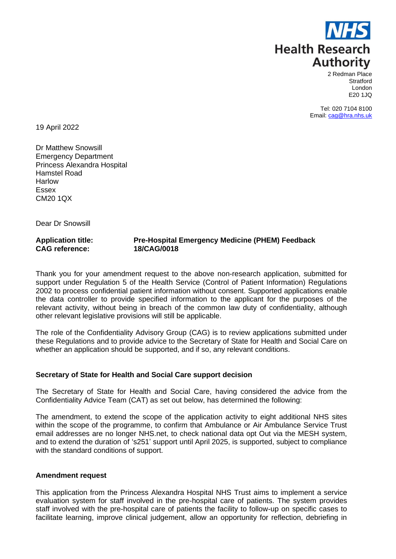

2 Redman Place **Stratford** London E20 1JQ

Tel: 020 7104 8100 Email[: cag@hra.nhs.uk](mailto:cag@hra.nhs.uk)

19 April 2022

Dr Matthew Snowsill Emergency Department Princess Alexandra Hospital Hamstel Road Harlow Essex CM20 1QX

Dear Dr Snowsill

**Application title: Pre-Hospital Emergency Medicine (PHEM) Feedback CAG reference: 18/CAG/0018**

Thank you for your amendment request to the above non-research application, submitted for support under Regulation 5 of the Health Service (Control of Patient Information) Regulations 2002 to process confidential patient information without consent. Supported applications enable the data controller to provide specified information to the applicant for the purposes of the relevant activity, without being in breach of the common law duty of confidentiality, although other relevant legislative provisions will still be applicable.

The role of the Confidentiality Advisory Group (CAG) is to review applications submitted under these Regulations and to provide advice to the Secretary of State for Health and Social Care on whether an application should be supported, and if so, any relevant conditions.

# **Secretary of State for Health and Social Care support decision**

The Secretary of State for Health and Social Care, having considered the advice from the Confidentiality Advice Team (CAT) as set out below, has determined the following:

The amendment, to extend the scope of the application activity to eight additional NHS sites within the scope of the programme, to confirm that Ambulance or Air Ambulance Service Trust email addresses are no longer NHS.net, to check national data opt Out via the MESH system, and to extend the duration of 's251' support until April 2025, is supported, subject to compliance with the standard conditions of support.

#### **Amendment request**

This application from the Princess Alexandra Hospital NHS Trust aims to implement a service evaluation system for staff involved in the pre-hospital care of patients. The system provides staff involved with the pre-hospital care of patients the facility to follow-up on specific cases to facilitate learning, improve clinical judgement, allow an opportunity for reflection, debriefing in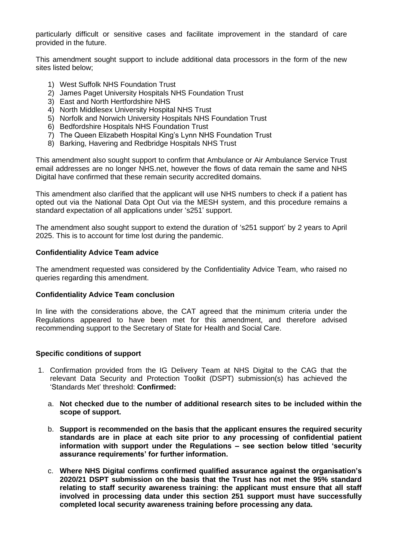particularly difficult or sensitive cases and facilitate improvement in the standard of care provided in the future.

This amendment sought support to include additional data processors in the form of the new sites listed below;

- 1) West Suffolk NHS Foundation Trust
- 2) James Paget University Hospitals NHS Foundation Trust
- 3) East and North Hertfordshire NHS
- 4) North Middlesex University Hospital NHS Trust
- 5) Norfolk and Norwich University Hospitals NHS Foundation Trust
- 6) Bedfordshire Hospitals NHS Foundation Trust
- 7) The Queen Elizabeth Hospital King's Lynn NHS Foundation Trust
- 8) Barking, Havering and Redbridge Hospitals NHS Trust

This amendment also sought support to confirm that Ambulance or Air Ambulance Service Trust email addresses are no longer NHS.net, however the flows of data remain the same and NHS Digital have confirmed that these remain security accredited domains.

This amendment also clarified that the applicant will use NHS numbers to check if a patient has opted out via the National Data Opt Out via the MESH system, and this procedure remains a standard expectation of all applications under 's251' support.

The amendment also sought support to extend the duration of 's251 support' by 2 years to April 2025. This is to account for time lost during the pandemic.

### **Confidentiality Advice Team advice**

The amendment requested was considered by the Confidentiality Advice Team, who raised no queries regarding this amendment.

#### **Confidentiality Advice Team conclusion**

In line with the considerations above, the CAT agreed that the minimum criteria under the Regulations appeared to have been met for this amendment, and therefore advised recommending support to the Secretary of State for Health and Social Care.

### **Specific conditions of support**

- 1. Confirmation provided from the IG Delivery Team at NHS Digital to the CAG that the relevant Data Security and Protection Toolkit (DSPT) submission(s) has achieved the 'Standards Met' threshold: **Confirmed:**
	- a. **Not checked due to the number of additional research sites to be included within the scope of support.**
	- b. **Support is recommended on the basis that the applicant ensures the required security standards are in place at each site prior to any processing of confidential patient information with support under the Regulations – see section below titled 'security assurance requirements' for further information.**
	- c. **Where NHS Digital confirms confirmed qualified assurance against the organisation's 2020/21 DSPT submission on the basis that the Trust has not met the 95% standard relating to staff security awareness training: the applicant must ensure that all staff involved in processing data under this section 251 support must have successfully completed local security awareness training before processing any data.**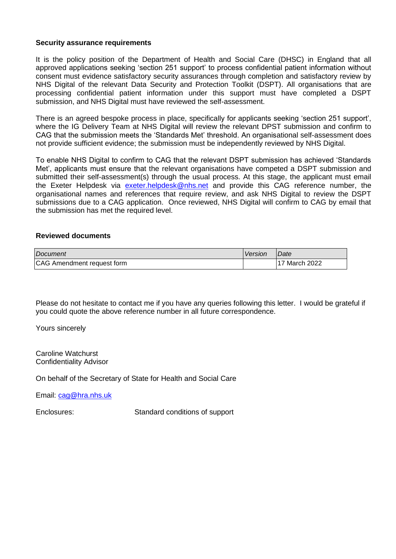### **Security assurance requirements**

It is the policy position of the Department of Health and Social Care (DHSC) in England that all approved applications seeking 'section 251 support' to process confidential patient information without consent must evidence satisfactory security assurances through completion and satisfactory review by NHS Digital of the relevant Data Security and Protection Toolkit (DSPT). All organisations that are processing confidential patient information under this support must have completed a DSPT submission, and NHS Digital must have reviewed the self-assessment.

There is an agreed bespoke process in place, specifically for applicants seeking 'section 251 support', where the IG Delivery Team at NHS Digital will review the relevant DPST submission and confirm to CAG that the submission meets the 'Standards Met' threshold. An organisational self-assessment does not provide sufficient evidence; the submission must be independently reviewed by NHS Digital.

To enable NHS Digital to confirm to CAG that the relevant DSPT submission has achieved 'Standards Met', applicants must ensure that the relevant organisations have competed a DSPT submission and submitted their self-assessment(s) through the usual process. At this stage, the applicant must email the Exeter Helpdesk via [exeter.helpdesk@nhs.net](mailto:exeter.helpdesk@nhs.net) and provide this CAG reference number, the organisational names and references that require review, and ask NHS Digital to review the DSPT submissions due to a CAG application. Once reviewed, NHS Digital will confirm to CAG by email that the submission has met the required level.

### **Reviewed documents**

| Document                   | Version | <i><b>IDate</b></i>  |
|----------------------------|---------|----------------------|
| CAG Amendment request form |         | <b>17 March 2022</b> |

Please do not hesitate to contact me if you have any queries following this letter. I would be grateful if you could quote the above reference number in all future correspondence.

Yours sincerely

Caroline Watchurst Confidentiality Advisor

On behalf of the Secretary of State for Health and Social Care

Email: [cag@hra.nhs.uk](mailto:cag@hra.nhs.uk)

Enclosures: Standard conditions of support